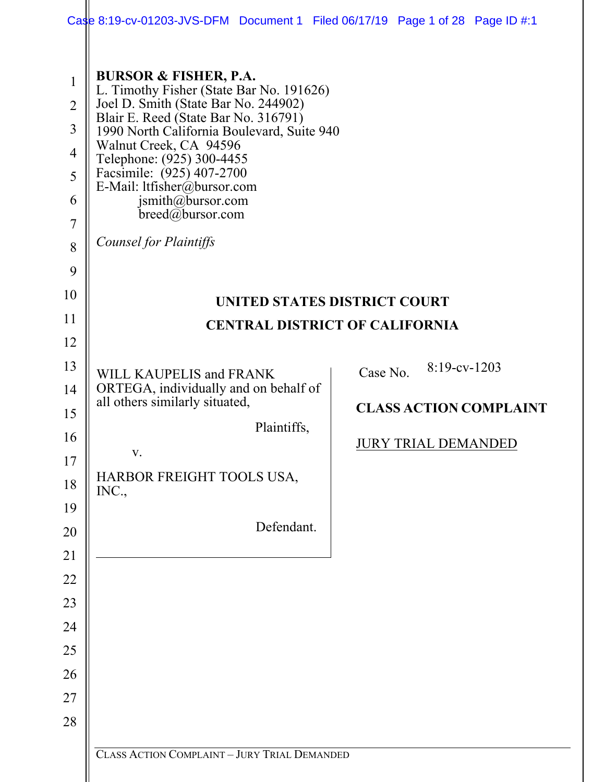|                                                                                                                | Case 8:19-cv-01203-JVS-DFM Document 1 Filed 06/17/19 Page 1 of 28 Page ID #:1                                                                                                                                                                                                                                                                                                                              |                               |  |  |
|----------------------------------------------------------------------------------------------------------------|------------------------------------------------------------------------------------------------------------------------------------------------------------------------------------------------------------------------------------------------------------------------------------------------------------------------------------------------------------------------------------------------------------|-------------------------------|--|--|
| $\mathbf{1}$<br>$\overline{2}$<br>$\mathfrak{Z}$<br>$\overline{4}$<br>5<br>6<br>$\overline{7}$<br>8<br>9<br>10 | <b>BURSOR &amp; FISHER, P.A.</b><br>L. Timothy Fisher (State Bar No. 191626)<br>Joel D. Smith (State Bar No. 244902)<br>Blair E. Reed (State Bar No. 316791)<br>1990 North California Boulevard, Suite 940<br>Walnut Creek, CA 94596<br>Telephone: (925) 300-4455<br>Facsimile: (925) 407-2700<br>E-Mail: ltfisher@bursor.com<br>jsmith@bursor.com<br>$breed@$ bursor.com<br><b>Counsel for Plaintiffs</b> |                               |  |  |
| 11                                                                                                             | <b>UNITED STATES DISTRICT COURT</b>                                                                                                                                                                                                                                                                                                                                                                        |                               |  |  |
| 12                                                                                                             | <b>CENTRAL DISTRICT OF CALIFORNIA</b>                                                                                                                                                                                                                                                                                                                                                                      |                               |  |  |
| 13                                                                                                             |                                                                                                                                                                                                                                                                                                                                                                                                            | $8:19$ -cv-1203               |  |  |
| 14                                                                                                             | WILL KAUPELIS and FRANK<br>ORTEGA, individually and on behalf of                                                                                                                                                                                                                                                                                                                                           | Case No.                      |  |  |
| 15                                                                                                             | all others similarly situated,                                                                                                                                                                                                                                                                                                                                                                             | <b>CLASS ACTION COMPLAINT</b> |  |  |
| 16                                                                                                             | Plaintiffs,                                                                                                                                                                                                                                                                                                                                                                                                |                               |  |  |
| 17                                                                                                             | V.                                                                                                                                                                                                                                                                                                                                                                                                         | <b>JURY TRIAL DEMANDED</b>    |  |  |
| 18                                                                                                             | HARBOR FREIGHT TOOLS USA,<br>INC.,                                                                                                                                                                                                                                                                                                                                                                         |                               |  |  |
| 19                                                                                                             |                                                                                                                                                                                                                                                                                                                                                                                                            |                               |  |  |
| 20                                                                                                             | Defendant.                                                                                                                                                                                                                                                                                                                                                                                                 |                               |  |  |
| 21                                                                                                             |                                                                                                                                                                                                                                                                                                                                                                                                            |                               |  |  |
| 22                                                                                                             |                                                                                                                                                                                                                                                                                                                                                                                                            |                               |  |  |
| 23                                                                                                             |                                                                                                                                                                                                                                                                                                                                                                                                            |                               |  |  |
| 24<br>25                                                                                                       |                                                                                                                                                                                                                                                                                                                                                                                                            |                               |  |  |
| 26                                                                                                             |                                                                                                                                                                                                                                                                                                                                                                                                            |                               |  |  |
| 27                                                                                                             |                                                                                                                                                                                                                                                                                                                                                                                                            |                               |  |  |
| 28                                                                                                             |                                                                                                                                                                                                                                                                                                                                                                                                            |                               |  |  |
|                                                                                                                |                                                                                                                                                                                                                                                                                                                                                                                                            |                               |  |  |
|                                                                                                                | CLASS ACTION COMPLAINT - JURY TRIAL DEMANDED                                                                                                                                                                                                                                                                                                                                                               |                               |  |  |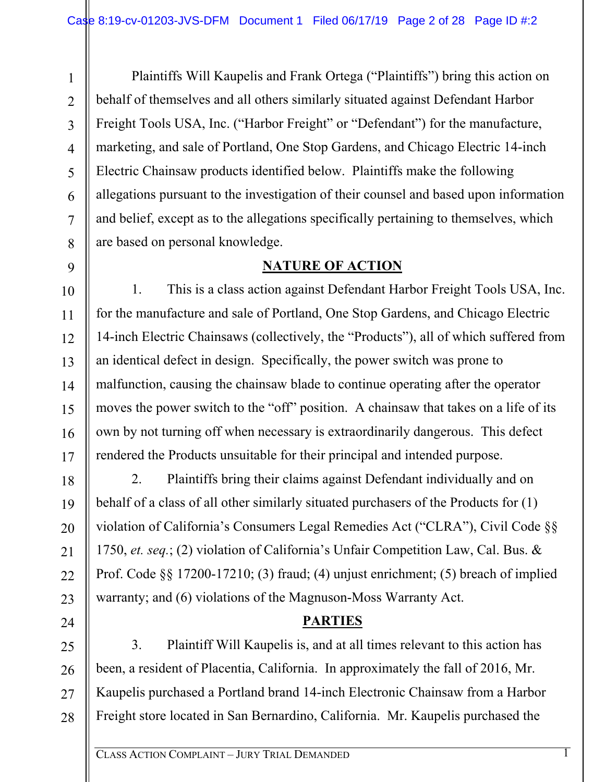1

2

3

4

5

6

7

8

9

10

11

12

13

14

15

16

17

18

19

20

21

22

23

24

Plaintiffs Will Kaupelis and Frank Ortega ("Plaintiffs") bring this action on behalf of themselves and all others similarly situated against Defendant Harbor Freight Tools USA, Inc. ("Harbor Freight" or "Defendant") for the manufacture, marketing, and sale of Portland, One Stop Gardens, and Chicago Electric 14-inch Electric Chainsaw products identified below. Plaintiffs make the following allegations pursuant to the investigation of their counsel and based upon information and belief, except as to the allegations specifically pertaining to themselves, which are based on personal knowledge.

## **NATURE OF ACTION**

1. This is a class action against Defendant Harbor Freight Tools USA, Inc. for the manufacture and sale of Portland, One Stop Gardens, and Chicago Electric 14-inch Electric Chainsaws (collectively, the "Products"), all of which suffered from an identical defect in design. Specifically, the power switch was prone to malfunction, causing the chainsaw blade to continue operating after the operator moves the power switch to the "off" position. A chainsaw that takes on a life of its own by not turning off when necessary is extraordinarily dangerous. This defect rendered the Products unsuitable for their principal and intended purpose.

2. Plaintiffs bring their claims against Defendant individually and on behalf of a class of all other similarly situated purchasers of the Products for (1) violation of California's Consumers Legal Remedies Act ("CLRA"), Civil Code §§ 1750, *et. seq.*; (2) violation of California's Unfair Competition Law, Cal. Bus. & Prof. Code §§ 17200-17210; (3) fraud; (4) unjust enrichment; (5) breach of implied warranty; and (6) violations of the Magnuson-Moss Warranty Act.

# **PARTIES**

25 26 27 28 3. Plaintiff Will Kaupelis is, and at all times relevant to this action has been, a resident of Placentia, California. In approximately the fall of 2016, Mr. Kaupelis purchased a Portland brand 14-inch Electronic Chainsaw from a Harbor Freight store located in San Bernardino, California. Mr. Kaupelis purchased the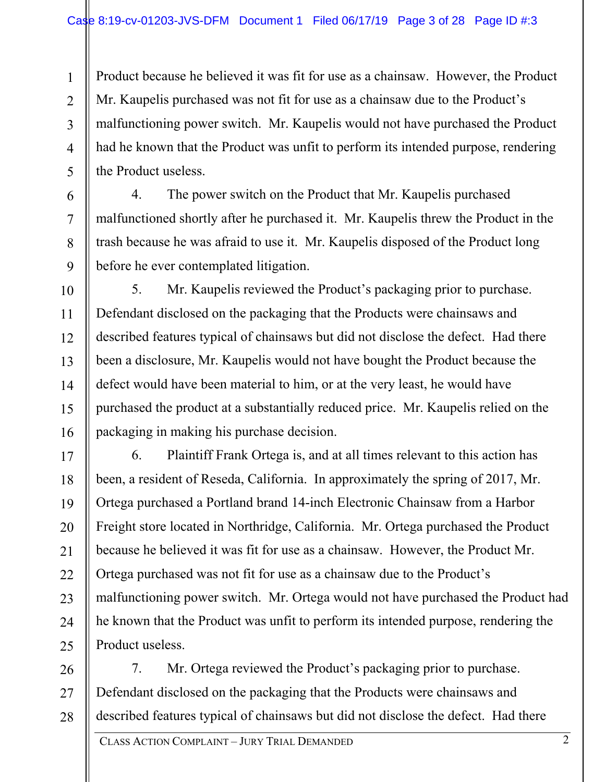1  $\mathfrak{D}$ 3 4 5 Product because he believed it was fit for use as a chainsaw. However, the Product Mr. Kaupelis purchased was not fit for use as a chainsaw due to the Product's malfunctioning power switch. Mr. Kaupelis would not have purchased the Product had he known that the Product was unfit to perform its intended purpose, rendering the Product useless.

4. The power switch on the Product that Mr. Kaupelis purchased malfunctioned shortly after he purchased it. Mr. Kaupelis threw the Product in the trash because he was afraid to use it. Mr. Kaupelis disposed of the Product long before he ever contemplated litigation.

6

7

8

9

10 11 12 13 14 15 16 5. Mr. Kaupelis reviewed the Product's packaging prior to purchase. Defendant disclosed on the packaging that the Products were chainsaws and described features typical of chainsaws but did not disclose the defect. Had there been a disclosure, Mr. Kaupelis would not have bought the Product because the defect would have been material to him, or at the very least, he would have purchased the product at a substantially reduced price. Mr. Kaupelis relied on the packaging in making his purchase decision.

17 18 19 20 21 22 23 24 25 6. Plaintiff Frank Ortega is, and at all times relevant to this action has been, a resident of Reseda, California. In approximately the spring of 2017, Mr. Ortega purchased a Portland brand 14-inch Electronic Chainsaw from a Harbor Freight store located in Northridge, California. Mr. Ortega purchased the Product because he believed it was fit for use as a chainsaw. However, the Product Mr. Ortega purchased was not fit for use as a chainsaw due to the Product's malfunctioning power switch. Mr. Ortega would not have purchased the Product had he known that the Product was unfit to perform its intended purpose, rendering the Product useless.

26 27 28 7. Mr. Ortega reviewed the Product's packaging prior to purchase. Defendant disclosed on the packaging that the Products were chainsaws and described features typical of chainsaws but did not disclose the defect. Had there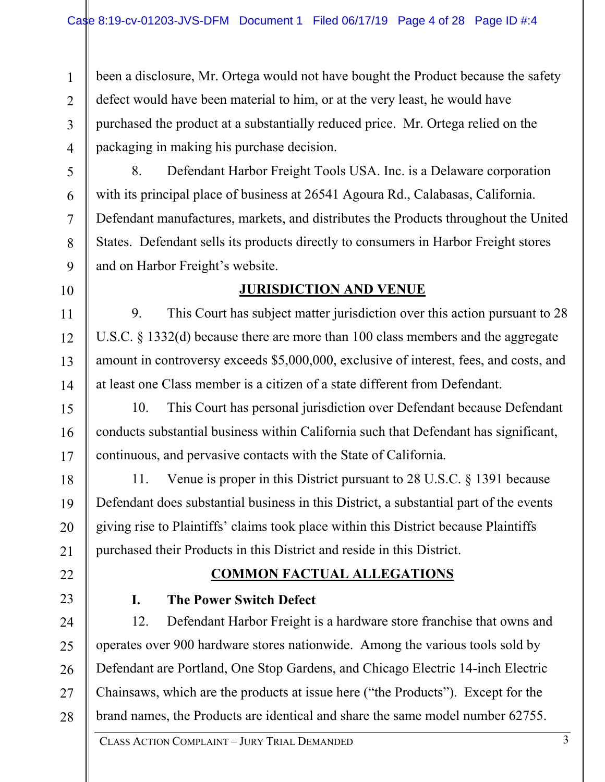1  $\mathfrak{D}$ 3 4 been a disclosure, Mr. Ortega would not have bought the Product because the safety defect would have been material to him, or at the very least, he would have purchased the product at a substantially reduced price. Mr. Ortega relied on the packaging in making his purchase decision.

5

6

7

8

9

10

11

12

13

14

15

16

17

18

19

20

21

22

8. Defendant Harbor Freight Tools USA. Inc. is a Delaware corporation with its principal place of business at 26541 Agoura Rd., Calabasas, California. Defendant manufactures, markets, and distributes the Products throughout the United States. Defendant sells its products directly to consumers in Harbor Freight stores and on Harbor Freight's website.

## **JURISDICTION AND VENUE**

9. This Court has subject matter jurisdiction over this action pursuant to 28 U.S.C. § 1332(d) because there are more than 100 class members and the aggregate amount in controversy exceeds \$5,000,000, exclusive of interest, fees, and costs, and at least one Class member is a citizen of a state different from Defendant.

10. This Court has personal jurisdiction over Defendant because Defendant conducts substantial business within California such that Defendant has significant, continuous, and pervasive contacts with the State of California.

11. Venue is proper in this District pursuant to 28 U.S.C. § 1391 because Defendant does substantial business in this District, a substantial part of the events giving rise to Plaintiffs' claims took place within this District because Plaintiffs purchased their Products in this District and reside in this District.

## **COMMON FACTUAL ALLEGATIONS**

23

# **I. The Power Switch Defect**

24 25 26 27 28 12. Defendant Harbor Freight is a hardware store franchise that owns and operates over 900 hardware stores nationwide. Among the various tools sold by Defendant are Portland, One Stop Gardens, and Chicago Electric 14-inch Electric Chainsaws, which are the products at issue here ("the Products"). Except for the brand names, the Products are identical and share the same model number 62755.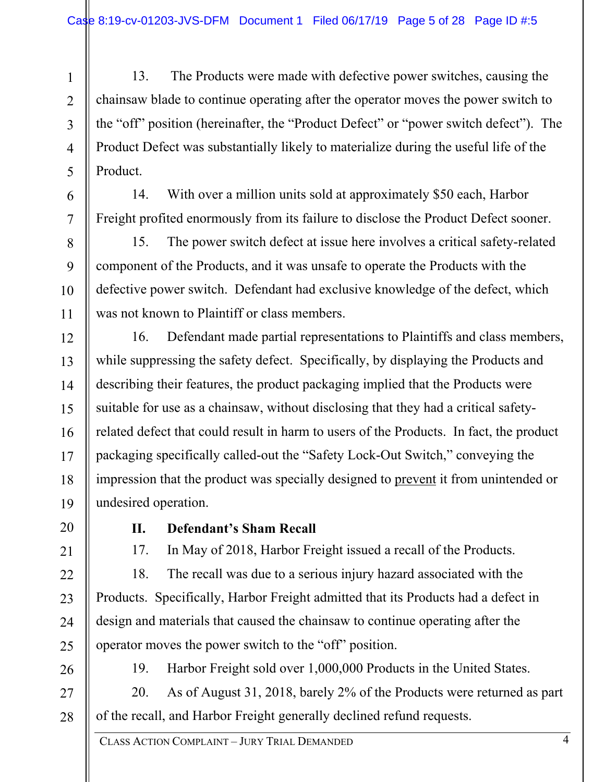1 2 3 4 5 13. The Products were made with defective power switches, causing the chainsaw blade to continue operating after the operator moves the power switch to the "off" position (hereinafter, the "Product Defect" or "power switch defect"). The Product Defect was substantially likely to materialize during the useful life of the Product.

14. With over a million units sold at approximately \$50 each, Harbor Freight profited enormously from its failure to disclose the Product Defect sooner.

15. The power switch defect at issue here involves a critical safety-related component of the Products, and it was unsafe to operate the Products with the defective power switch. Defendant had exclusive knowledge of the defect, which was not known to Plaintiff or class members.

12 13 14 15 16 17 18 19 16. Defendant made partial representations to Plaintiffs and class members, while suppressing the safety defect. Specifically, by displaying the Products and describing their features, the product packaging implied that the Products were suitable for use as a chainsaw, without disclosing that they had a critical safetyrelated defect that could result in harm to users of the Products. In fact, the product packaging specifically called-out the "Safety Lock-Out Switch," conveying the impression that the product was specially designed to prevent it from unintended or undesired operation.

20

6

7

8

9

10

11

#### **II. Defendant's Sham Recall**

21

22

23

24

25

17. In May of 2018, Harbor Freight issued a recall of the Products.

18. The recall was due to a serious injury hazard associated with the Products. Specifically, Harbor Freight admitted that its Products had a defect in design and materials that caused the chainsaw to continue operating after the operator moves the power switch to the "off" position.

26

19. Harbor Freight sold over 1,000,000 Products in the United States.

27 28 20. As of August 31, 2018, barely 2% of the Products were returned as part of the recall, and Harbor Freight generally declined refund requests.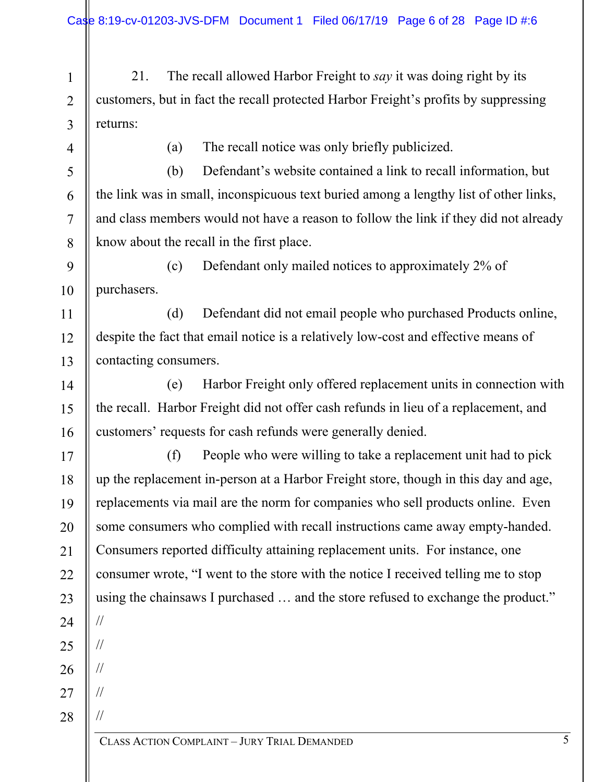1 2 3 21. The recall allowed Harbor Freight to *say* it was doing right by its customers, but in fact the recall protected Harbor Freight's profits by suppressing returns:

4

5

6

7

8

11

12

13

(a) The recall notice was only briefly publicized.

(b) Defendant's website contained a link to recall information, but the link was in small, inconspicuous text buried among a lengthy list of other links, and class members would not have a reason to follow the link if they did not already know about the recall in the first place.

9 10 (c) Defendant only mailed notices to approximately 2% of purchasers.

(d) Defendant did not email people who purchased Products online, despite the fact that email notice is a relatively low-cost and effective means of contacting consumers.

14 15 16 (e) Harbor Freight only offered replacement units in connection with the recall. Harbor Freight did not offer cash refunds in lieu of a replacement, and customers' requests for cash refunds were generally denied.

17 18 19 20 21 22 23 24 25 (f) People who were willing to take a replacement unit had to pick up the replacement in-person at a Harbor Freight store, though in this day and age, replacements via mail are the norm for companies who sell products online. Even some consumers who complied with recall instructions came away empty-handed. Consumers reported difficulty attaining replacement units. For instance, one consumer wrote, "I went to the store with the notice I received telling me to stop using the chainsaws I purchased … and the store refused to exchange the product." // //

26

//

//

//

27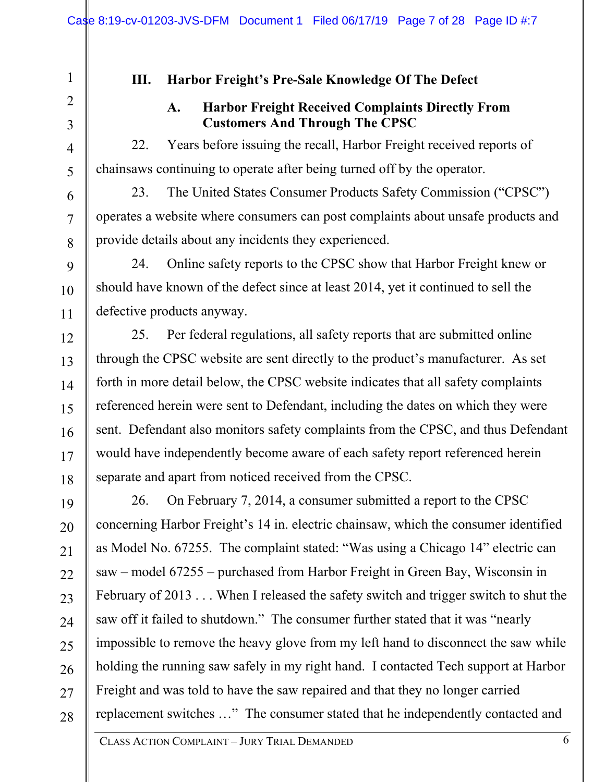## **III. Harbor Freight's Pre-Sale Knowledge Of The Defect**

1

2

3

4

5

6

7

8

9

10

11

12

13

14

15

16

17

18

#### **A. Harbor Freight Received Complaints Directly From Customers And Through The CPSC**

22. Years before issuing the recall, Harbor Freight received reports of chainsaws continuing to operate after being turned off by the operator.

23. The United States Consumer Products Safety Commission ("CPSC") operates a website where consumers can post complaints about unsafe products and provide details about any incidents they experienced.

24. Online safety reports to the CPSC show that Harbor Freight knew or should have known of the defect since at least 2014, yet it continued to sell the defective products anyway.

25. Per federal regulations, all safety reports that are submitted online through the CPSC website are sent directly to the product's manufacturer. As set forth in more detail below, the CPSC website indicates that all safety complaints referenced herein were sent to Defendant, including the dates on which they were sent. Defendant also monitors safety complaints from the CPSC, and thus Defendant would have independently become aware of each safety report referenced herein separate and apart from noticed received from the CPSC.

19 20 21 22 23 24 25 26 27 28 26. On February 7, 2014, a consumer submitted a report to the CPSC concerning Harbor Freight's 14 in. electric chainsaw, which the consumer identified as Model No. 67255. The complaint stated: "Was using a Chicago 14" electric can saw – model 67255 – purchased from Harbor Freight in Green Bay, Wisconsin in February of 2013 . . . When I released the safety switch and trigger switch to shut the saw off it failed to shutdown." The consumer further stated that it was "nearly impossible to remove the heavy glove from my left hand to disconnect the saw while holding the running saw safely in my right hand. I contacted Tech support at Harbor Freight and was told to have the saw repaired and that they no longer carried replacement switches …" The consumer stated that he independently contacted and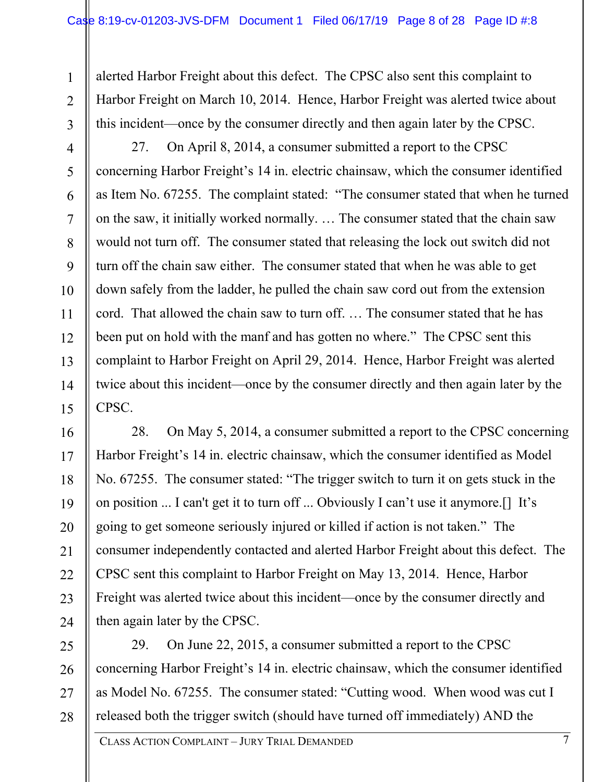alerted Harbor Freight about this defect. The CPSC also sent this complaint to Harbor Freight on March 10, 2014. Hence, Harbor Freight was alerted twice about this incident—once by the consumer directly and then again later by the CPSC.

3 4

5

6

7

8

9

10

11

12

13

14

15

1

 $\mathfrak{D}$ 

27. On April 8, 2014, a consumer submitted a report to the CPSC concerning Harbor Freight's 14 in. electric chainsaw, which the consumer identified as Item No. 67255. The complaint stated: "The consumer stated that when he turned on the saw, it initially worked normally. … The consumer stated that the chain saw would not turn off. The consumer stated that releasing the lock out switch did not turn off the chain saw either. The consumer stated that when he was able to get down safely from the ladder, he pulled the chain saw cord out from the extension cord. That allowed the chain saw to turn off. … The consumer stated that he has been put on hold with the manf and has gotten no where." The CPSC sent this complaint to Harbor Freight on April 29, 2014. Hence, Harbor Freight was alerted twice about this incident—once by the consumer directly and then again later by the CPSC.

16 17 18 19 20 21 22 23 24 28. On May 5, 2014, a consumer submitted a report to the CPSC concerning Harbor Freight's 14 in. electric chainsaw, which the consumer identified as Model No. 67255. The consumer stated: "The trigger switch to turn it on gets stuck in the on position ... I can't get it to turn off ... Obviously I can't use it anymore.[] It's going to get someone seriously injured or killed if action is not taken." The consumer independently contacted and alerted Harbor Freight about this defect. The CPSC sent this complaint to Harbor Freight on May 13, 2014. Hence, Harbor Freight was alerted twice about this incident—once by the consumer directly and then again later by the CPSC.

25 26 27 28 29. On June 22, 2015, a consumer submitted a report to the CPSC concerning Harbor Freight's 14 in. electric chainsaw, which the consumer identified as Model No. 67255. The consumer stated: "Cutting wood. When wood was cut I released both the trigger switch (should have turned off immediately) AND the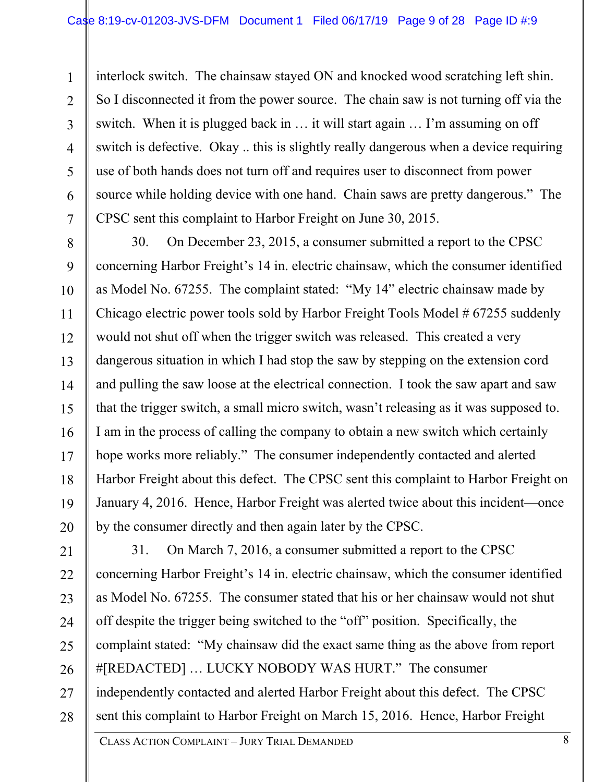1 2 3 4 5 6 7 interlock switch. The chainsaw stayed ON and knocked wood scratching left shin. So I disconnected it from the power source. The chain saw is not turning off via the switch. When it is plugged back in … it will start again … I'm assuming on off switch is defective. Okay .. this is slightly really dangerous when a device requiring use of both hands does not turn off and requires user to disconnect from power source while holding device with one hand. Chain saws are pretty dangerous." The CPSC sent this complaint to Harbor Freight on June 30, 2015.

8 9 10 11 12 13 14 15 16 17 18 19 20 30. On December 23, 2015, a consumer submitted a report to the CPSC concerning Harbor Freight's 14 in. electric chainsaw, which the consumer identified as Model No. 67255. The complaint stated: "My 14" electric chainsaw made by Chicago electric power tools sold by Harbor Freight Tools Model # 67255 suddenly would not shut off when the trigger switch was released. This created a very dangerous situation in which I had stop the saw by stepping on the extension cord and pulling the saw loose at the electrical connection. I took the saw apart and saw that the trigger switch, a small micro switch, wasn't releasing as it was supposed to. I am in the process of calling the company to obtain a new switch which certainly hope works more reliably." The consumer independently contacted and alerted Harbor Freight about this defect. The CPSC sent this complaint to Harbor Freight on January 4, 2016. Hence, Harbor Freight was alerted twice about this incident—once by the consumer directly and then again later by the CPSC.

21 22 23 24 25 26 27 28 31. On March 7, 2016, a consumer submitted a report to the CPSC concerning Harbor Freight's 14 in. electric chainsaw, which the consumer identified as Model No. 67255. The consumer stated that his or her chainsaw would not shut off despite the trigger being switched to the "off" position. Specifically, the complaint stated: "My chainsaw did the exact same thing as the above from report #[REDACTED] … LUCKY NOBODY WAS HURT." The consumer independently contacted and alerted Harbor Freight about this defect. The CPSC sent this complaint to Harbor Freight on March 15, 2016. Hence, Harbor Freight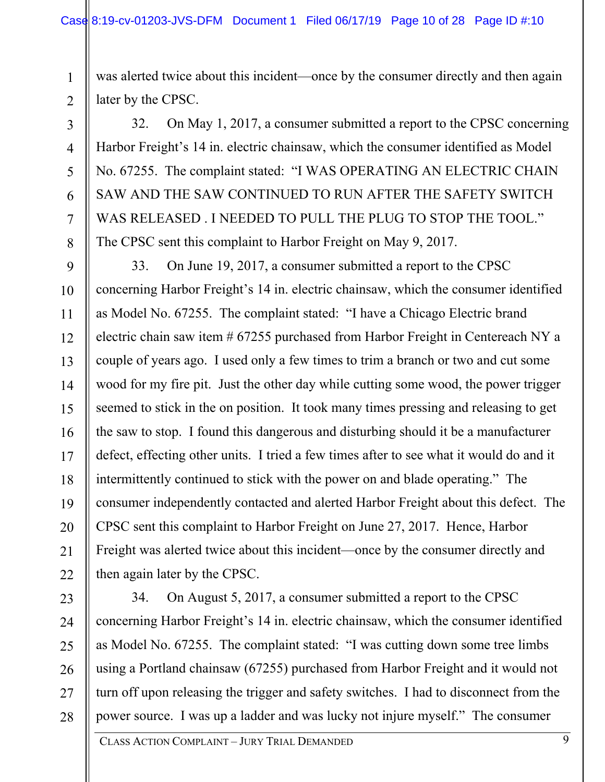3

4

5

6

7

8

1 2 was alerted twice about this incident—once by the consumer directly and then again later by the CPSC.

32. On May 1, 2017, a consumer submitted a report to the CPSC concerning Harbor Freight's 14 in. electric chainsaw, which the consumer identified as Model No. 67255. The complaint stated: "I WAS OPERATING AN ELECTRIC CHAIN SAW AND THE SAW CONTINUED TO RUN AFTER THE SAFETY SWITCH WAS RELEASED . I NEEDED TO PULL THE PLUG TO STOP THE TOOL." The CPSC sent this complaint to Harbor Freight on May 9, 2017.

9 10 11 12 13 14 15 16 17 18 19 20 21 22 33. On June 19, 2017, a consumer submitted a report to the CPSC concerning Harbor Freight's 14 in. electric chainsaw, which the consumer identified as Model No. 67255. The complaint stated: "I have a Chicago Electric brand electric chain saw item # 67255 purchased from Harbor Freight in Centereach NY a couple of years ago. I used only a few times to trim a branch or two and cut some wood for my fire pit. Just the other day while cutting some wood, the power trigger seemed to stick in the on position. It took many times pressing and releasing to get the saw to stop. I found this dangerous and disturbing should it be a manufacturer defect, effecting other units. I tried a few times after to see what it would do and it intermittently continued to stick with the power on and blade operating." The consumer independently contacted and alerted Harbor Freight about this defect. The CPSC sent this complaint to Harbor Freight on June 27, 2017. Hence, Harbor Freight was alerted twice about this incident—once by the consumer directly and then again later by the CPSC.

23 24 25 26 27 28 34. On August 5, 2017, a consumer submitted a report to the CPSC concerning Harbor Freight's 14 in. electric chainsaw, which the consumer identified as Model No. 67255. The complaint stated: "I was cutting down some tree limbs using a Portland chainsaw (67255) purchased from Harbor Freight and it would not turn off upon releasing the trigger and safety switches. I had to disconnect from the power source. I was up a ladder and was lucky not injure myself." The consumer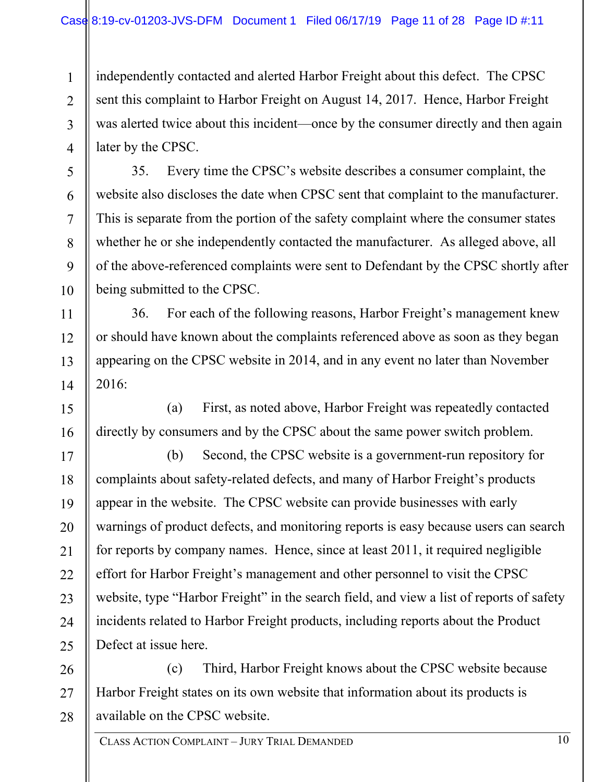1 2 3 4 independently contacted and alerted Harbor Freight about this defect. The CPSC sent this complaint to Harbor Freight on August 14, 2017. Hence, Harbor Freight was alerted twice about this incident—once by the consumer directly and then again later by the CPSC.

5

6

7

8

9

10

11

12

13

14

35. Every time the CPSC's website describes a consumer complaint, the website also discloses the date when CPSC sent that complaint to the manufacturer. This is separate from the portion of the safety complaint where the consumer states whether he or she independently contacted the manufacturer. As alleged above, all of the above-referenced complaints were sent to Defendant by the CPSC shortly after being submitted to the CPSC.

36. For each of the following reasons, Harbor Freight's management knew or should have known about the complaints referenced above as soon as they began appearing on the CPSC website in 2014, and in any event no later than November 2016:

15 16 (a) First, as noted above, Harbor Freight was repeatedly contacted directly by consumers and by the CPSC about the same power switch problem.

17 18 19 20 21 22 23 24 25 (b) Second, the CPSC website is a government-run repository for complaints about safety-related defects, and many of Harbor Freight's products appear in the website. The CPSC website can provide businesses with early warnings of product defects, and monitoring reports is easy because users can search for reports by company names. Hence, since at least 2011, it required negligible effort for Harbor Freight's management and other personnel to visit the CPSC website, type "Harbor Freight" in the search field, and view a list of reports of safety incidents related to Harbor Freight products, including reports about the Product Defect at issue here.

26 27 28 (c) Third, Harbor Freight knows about the CPSC website because Harbor Freight states on its own website that information about its products is available on the CPSC website.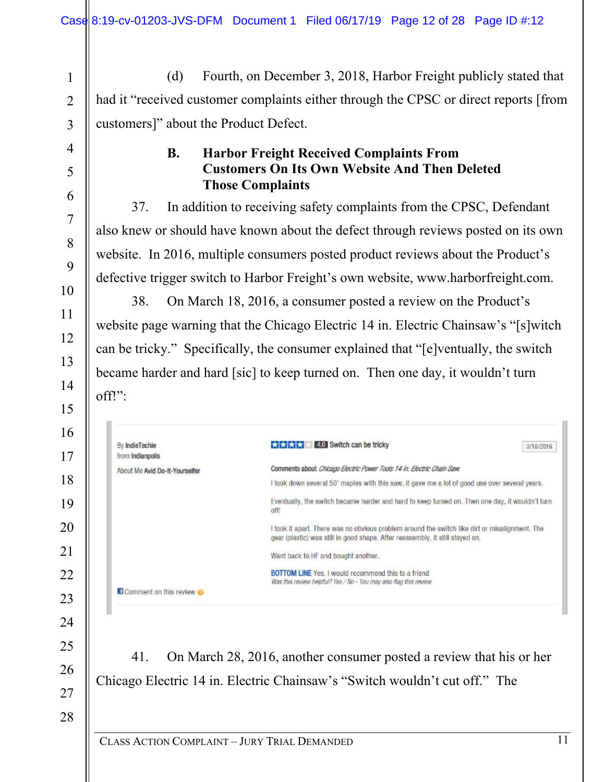1 2 3 (d) Fourth, on December 3, 2018, Harbor Freight publicly stated that had it "received customer complaints either through the CPSC or direct reports [from customers]" about the Product Defect.

## **B. Harbor Freight Received Complaints From Customers On Its Own Website And Then Deleted Those Complaints**

37. In addition to receiving safety complaints from the CPSC, Defendant also knew or should have known about the defect through reviews posted on its own website. In 2016, multiple consumers posted product reviews about the Product's defective trigger switch to Harbor Freight's own website, www.harborfreight.com.

38. On March 18, 2016, a consumer posted a review on the Product's website page warning that the Chicago Electric 14 in. Electric Chainsaw's "[s]witch can be tricky." Specifically, the consumer explained that "[e]ventually, the switch became harder and hard [sic] to keep turned on. Then one day, it wouldn't turn off!":

| 16 |                                           |                                                                                                                                                                                 |           |
|----|-------------------------------------------|---------------------------------------------------------------------------------------------------------------------------------------------------------------------------------|-----------|
|    | <b>By IndieTechie</b><br>from Indianpolis | <b>4.0</b> Switch can be tricky<br>****                                                                                                                                         | 3/18/2016 |
|    | About Me Avid Do-It-Yourselfer            | Comments about Chicago Electric Power Tools 14 in. Electric Chain Saw.                                                                                                          |           |
|    |                                           | I took down several 50' maples with this saw, it gave me a lot of good use over several years.                                                                                  |           |
|    |                                           | Eventually, the switch became harder and hard to keep turned on. Then one day, it wouldn't turn<br>off!                                                                         |           |
|    |                                           | I took it apart. There was no obvious problem around the switch like dirt or misalignment. The<br>gear (plastic) was still in good shape. After reassembly, it still stayed on. |           |
|    |                                           | Went back to HF and bought another.                                                                                                                                             |           |
|    |                                           | <b>BOTTOM LINE Yes. I would recommend this to a friend</b><br>Was this review helpful? Yes / No - You may also flag this review                                                 |           |
|    | <b>E</b> Comment on this review           |                                                                                                                                                                                 |           |
|    |                                           |                                                                                                                                                                                 |           |
|    |                                           |                                                                                                                                                                                 |           |
|    | 41.                                       | On March 28, 2016, another consumer posted a review that his or her                                                                                                             |           |
|    |                                           | Chicago Electric 14 in. Electric Chainsaw's "Switch wouldn't cut off." The                                                                                                      |           |

27 28

4

5

6

7

8

9

10

11

12

13

14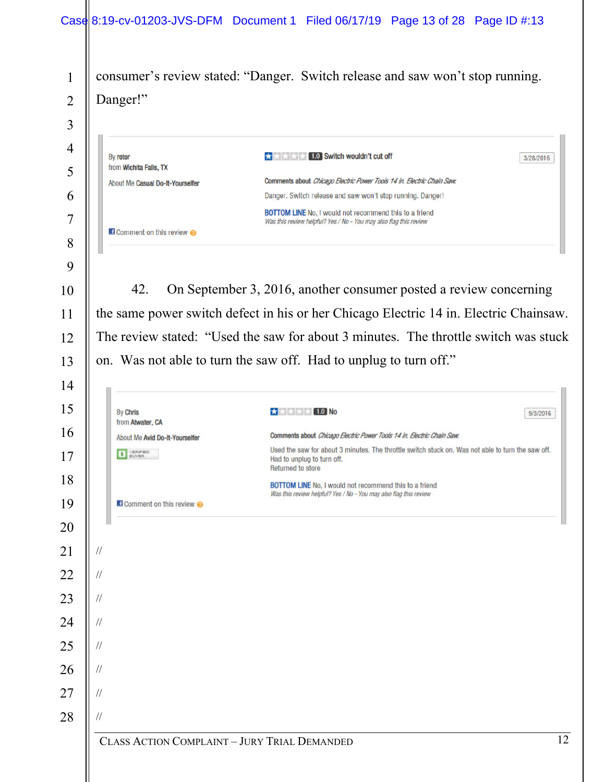|                |               |                                                    | Case 8:19-cv-01203-JVS-DFM Document 1 Filed 06/17/19 Page 13 of 28 Page ID #:13                                                                      |           |
|----------------|---------------|----------------------------------------------------|------------------------------------------------------------------------------------------------------------------------------------------------------|-----------|
| $\mathbf{1}$   |               |                                                    | consumer's review stated: "Danger. Switch release and saw won't stop running.                                                                        |           |
| $\overline{2}$ |               | Danger!"                                           |                                                                                                                                                      |           |
| 3              |               |                                                    |                                                                                                                                                      |           |
| 4              |               |                                                    |                                                                                                                                                      |           |
| 5              | By rotor      | from Wichita Falls, TX                             | <b>x</b> x x 1.0 Switch wouldn't cut off                                                                                                             | 3/28/2016 |
| 6              |               | About Me Casual Do-It-Yourselfer                   | Comments about Chicago Electric Power Tools 14 in. Electric Chain Saw.<br>Danger. Switch release and saw won't stop running. Danger!                 |           |
| 7              |               |                                                    | <b>BOTTOM LINE</b> No. I would not recommend this to a friend<br>Was this review helpful? Yes / No - You may also flag this review                   |           |
| 8              |               | <b>Ef Comment on this review O</b>                 |                                                                                                                                                      |           |
| 9              |               |                                                    |                                                                                                                                                      |           |
| 10             |               | 42.                                                | On September 3, 2016, another consumer posted a review concerning                                                                                    |           |
| 11             |               |                                                    | the same power switch defect in his or her Chicago Electric 14 in. Electric Chainsaw.                                                                |           |
| 12             |               |                                                    | The review stated: "Used the saw for about 3 minutes. The throttle switch was stuck                                                                  |           |
| 13             |               |                                                    | on. Was not able to turn the saw off. Had to unplug to turn off."                                                                                    |           |
| 14             |               |                                                    |                                                                                                                                                      |           |
| 15             |               | <b>By Chris</b>                                    | <b>***** 1.0 No</b>                                                                                                                                  | 9/3/2016  |
| 16             |               | from Atwater, CA<br>About Me Avid Do-It-Yourselfer | Comments about Chicago Electric Power Tools 14 in. Electric Chain Saw.                                                                               |           |
|                |               |                                                    |                                                                                                                                                      |           |
| 17             |               | VERIFIED<br>BUYER<br>\$                            | Used the saw for about 3 minutes. The throttle switch stuck on. Was not able to turn the saw off.<br>Had to unplug to turn off.<br>Returned to store |           |
| 18             |               |                                                    | <b>BOTTOM LINE</b> No, I would not recommend this to a friend<br>Was this review helpful? Yes / No - You may also flag this review                   |           |
| 19             |               | <b>Ef Comment on this review ⊘</b>                 |                                                                                                                                                      |           |
| 20             |               |                                                    |                                                                                                                                                      |           |
| 21             | $\frac{1}{2}$ |                                                    |                                                                                                                                                      |           |
| 22             | $\frac{1}{2}$ |                                                    |                                                                                                                                                      |           |
| 23             | $\frac{1}{2}$ |                                                    |                                                                                                                                                      |           |
| 24             | $\frac{1}{2}$ |                                                    |                                                                                                                                                      |           |
| 25             | $\frac{1}{2}$ |                                                    |                                                                                                                                                      |           |
| 26             | $\frac{1}{2}$ |                                                    |                                                                                                                                                      |           |
| 27             | $\frac{1}{2}$ |                                                    |                                                                                                                                                      |           |
| 28             | $\frac{1}{2}$ |                                                    |                                                                                                                                                      |           |
|                |               | CLASS ACTION COMPLAINT - JURY TRIAL DEMANDED       |                                                                                                                                                      | 12        |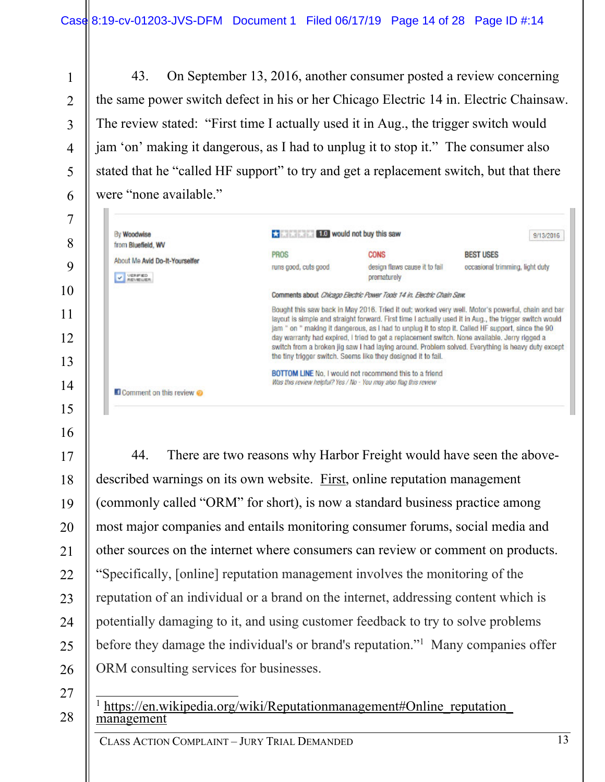43. On September 13, 2016, another consumer posted a review concerning the same power switch defect in his or her Chicago Electric 14 in. Electric Chainsaw. The review stated: "First time I actually used it in Aug., the trigger switch would jam 'on' making it dangerous, as I had to unplug it to stop it." The consumer also stated that he "called HF support" to try and get a replacement switch, but that there were "none available."

| 6        |  |
|----------|--|
| $\prime$ |  |
| X        |  |

9

10

11

12

13

14

15

16

1

2

3

4

5

| By Woodwise<br>from Bluefield, WV                                    | <b>E10</b> would not buy this saw                                      |                                                                                                                                                                                                                                                                     |                                                                                                                                                                                                                                                                                                                  |  |
|----------------------------------------------------------------------|------------------------------------------------------------------------|---------------------------------------------------------------------------------------------------------------------------------------------------------------------------------------------------------------------------------------------------------------------|------------------------------------------------------------------------------------------------------------------------------------------------------------------------------------------------------------------------------------------------------------------------------------------------------------------|--|
| About Me Avid Do-It-Yourselfer<br>VERFIED<br><b><i>REUBLISTA</i></b> | <b>PROS</b><br>runs good, cuts good.                                   | <b>CONS</b><br>design flaws cause it to fail<br>prematurely                                                                                                                                                                                                         | <b>BEST USES</b><br>occasional trimming, light duty                                                                                                                                                                                                                                                              |  |
|                                                                      | Comments about Chicago Electric Power Tools 14 in. Electric Chain Saw. |                                                                                                                                                                                                                                                                     |                                                                                                                                                                                                                                                                                                                  |  |
|                                                                      |                                                                        | jam " on " making it dangerous, as I had to unplug it to stop it. Called HF support, since the 90<br>day warranty had expired, I tried to get a replacement switch. None available, Jerry rigged a<br>the tiny trigger switch. Seems like they designed it to fall. | Bought this saw back in May 2016. Tried it out: worked very well. Motor's powerful, chain and bar<br>layout is simple and straight forward. First time I actually used it in Aug., the trigger switch would<br>switch from a broken jig saw I had laying around. Problem solved. Everything is heavy duty except |  |
|                                                                      |                                                                        | BOTTOM LINE No. I would not recommend this to a friend<br>Was this review helpful? Yes / No - You may also flag this review                                                                                                                                         |                                                                                                                                                                                                                                                                                                                  |  |
| Comment on this review                                               |                                                                        |                                                                                                                                                                                                                                                                     |                                                                                                                                                                                                                                                                                                                  |  |

17 18 19 20 21 22 23 24 25 26 44. There are two reasons why Harbor Freight would have seen the abovedescribed warnings on its own website. First, online reputation management (commonly called "ORM" for short), is now a standard business practice among most major companies and entails monitoring consumer forums, social media and other sources on the internet where consumers can review or comment on products. "Specifically, [online] reputation management involves the monitoring of the reputation of an individual or a brand on the internet, addressing content which is potentially damaging to it, and using customer feedback to try to solve problems before they damage the individual's or brand's reputation."<sup>1</sup> Many companies offer ORM consulting services for businesses.

27

28

 1 https://en.wikipedia.org/wiki/Reputationmanagement#Online\_reputation\_ management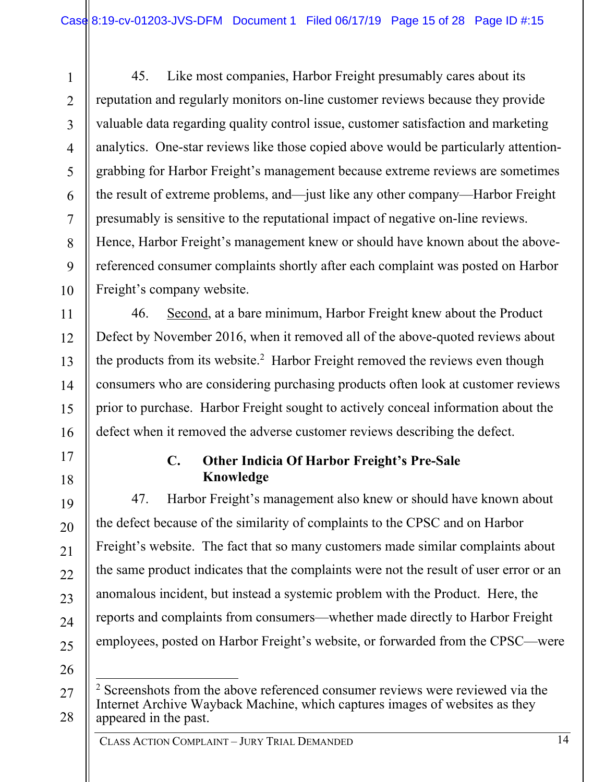1 2 3 4 5 6 7 8 9 10 45. Like most companies, Harbor Freight presumably cares about its reputation and regularly monitors on-line customer reviews because they provide valuable data regarding quality control issue, customer satisfaction and marketing analytics. One-star reviews like those copied above would be particularly attentiongrabbing for Harbor Freight's management because extreme reviews are sometimes the result of extreme problems, and—just like any other company—Harbor Freight presumably is sensitive to the reputational impact of negative on-line reviews. Hence, Harbor Freight's management knew or should have known about the abovereferenced consumer complaints shortly after each complaint was posted on Harbor Freight's company website.

46. Second, at a bare minimum, Harbor Freight knew about the Product Defect by November 2016, when it removed all of the above-quoted reviews about the products from its website.<sup>2</sup> Harbor Freight removed the reviews even though consumers who are considering purchasing products often look at customer reviews prior to purchase. Harbor Freight sought to actively conceal information about the defect when it removed the adverse customer reviews describing the defect.

18

11

12

13

14

15

16

17

19

20

21

22

23

24

25

#### **C. Other Indicia Of Harbor Freight's Pre-Sale Knowledge**

47. Harbor Freight's management also knew or should have known about the defect because of the similarity of complaints to the CPSC and on Harbor Freight's website. The fact that so many customers made similar complaints about the same product indicates that the complaints were not the result of user error or an anomalous incident, but instead a systemic problem with the Product. Here, the reports and complaints from consumers—whether made directly to Harbor Freight employees, posted on Harbor Freight's website, or forwarded from the CPSC—were

<sup>27</sup>  28  $\overline{a}$ <sup>2</sup> Screenshots from the above referenced consumer reviews were reviewed via the Internet Archive Wayback Machine, which captures images of websites as they appeared in the past.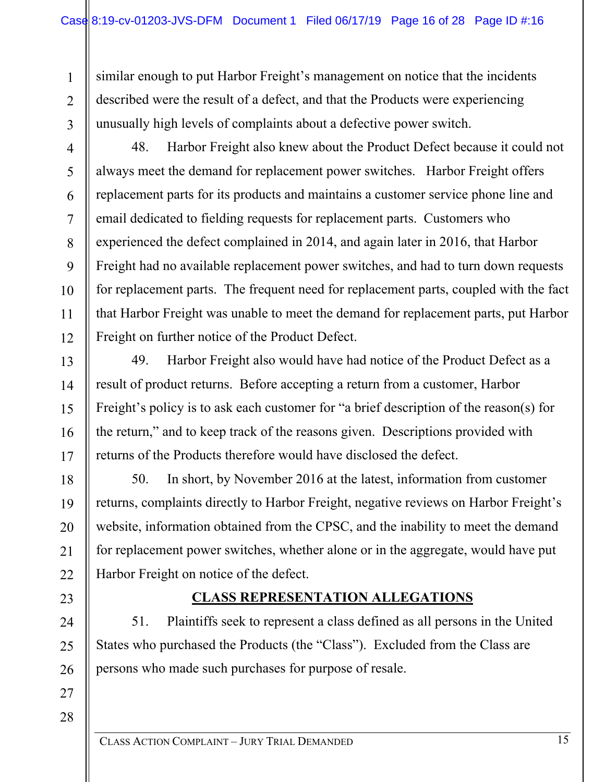similar enough to put Harbor Freight's management on notice that the incidents described were the result of a defect, and that the Products were experiencing unusually high levels of complaints about a defective power switch.

3 4

5

6

7

8

9

10

11

12

13

14

15

16

17

18

19

20

21

22

23

24

25

26

1

 $\mathfrak{D}$ 

48. Harbor Freight also knew about the Product Defect because it could not always meet the demand for replacement power switches. Harbor Freight offers replacement parts for its products and maintains a customer service phone line and email dedicated to fielding requests for replacement parts. Customers who experienced the defect complained in 2014, and again later in 2016, that Harbor Freight had no available replacement power switches, and had to turn down requests for replacement parts. The frequent need for replacement parts, coupled with the fact that Harbor Freight was unable to meet the demand for replacement parts, put Harbor Freight on further notice of the Product Defect.

49. Harbor Freight also would have had notice of the Product Defect as a result of product returns. Before accepting a return from a customer, Harbor Freight's policy is to ask each customer for "a brief description of the reason(s) for the return," and to keep track of the reasons given. Descriptions provided with returns of the Products therefore would have disclosed the defect.

50. In short, by November 2016 at the latest, information from customer returns, complaints directly to Harbor Freight, negative reviews on Harbor Freight's website, information obtained from the CPSC, and the inability to meet the demand for replacement power switches, whether alone or in the aggregate, would have put Harbor Freight on notice of the defect.

#### **CLASS REPRESENTATION ALLEGATIONS**

51. Plaintiffs seek to represent a class defined as all persons in the United States who purchased the Products (the "Class"). Excluded from the Class are persons who made such purchases for purpose of resale.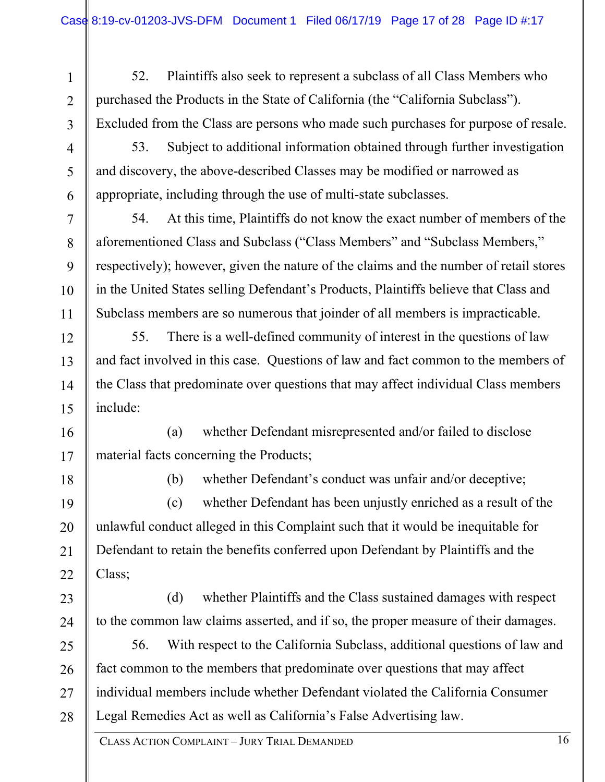52. Plaintiffs also seek to represent a subclass of all Class Members who purchased the Products in the State of California (the "California Subclass"). Excluded from the Class are persons who made such purchases for purpose of resale.

3 4

5

6

7

8

9

10

11

12

13

14

15

1

2

53. Subject to additional information obtained through further investigation and discovery, the above-described Classes may be modified or narrowed as appropriate, including through the use of multi-state subclasses.

54. At this time, Plaintiffs do not know the exact number of members of the aforementioned Class and Subclass ("Class Members" and "Subclass Members," respectively); however, given the nature of the claims and the number of retail stores in the United States selling Defendant's Products, Plaintiffs believe that Class and Subclass members are so numerous that joinder of all members is impracticable.

55. There is a well-defined community of interest in the questions of law and fact involved in this case. Questions of law and fact common to the members of the Class that predominate over questions that may affect individual Class members include:

16 17 (a) whether Defendant misrepresented and/or failed to disclose material facts concerning the Products;

18

20

21

(b) whether Defendant's conduct was unfair and/or deceptive;

19 22 (c) whether Defendant has been unjustly enriched as a result of the unlawful conduct alleged in this Complaint such that it would be inequitable for Defendant to retain the benefits conferred upon Defendant by Plaintiffs and the Class;

23 24 (d) whether Plaintiffs and the Class sustained damages with respect to the common law claims asserted, and if so, the proper measure of their damages.

25 26 27 28 56. With respect to the California Subclass, additional questions of law and fact common to the members that predominate over questions that may affect individual members include whether Defendant violated the California Consumer Legal Remedies Act as well as California's False Advertising law.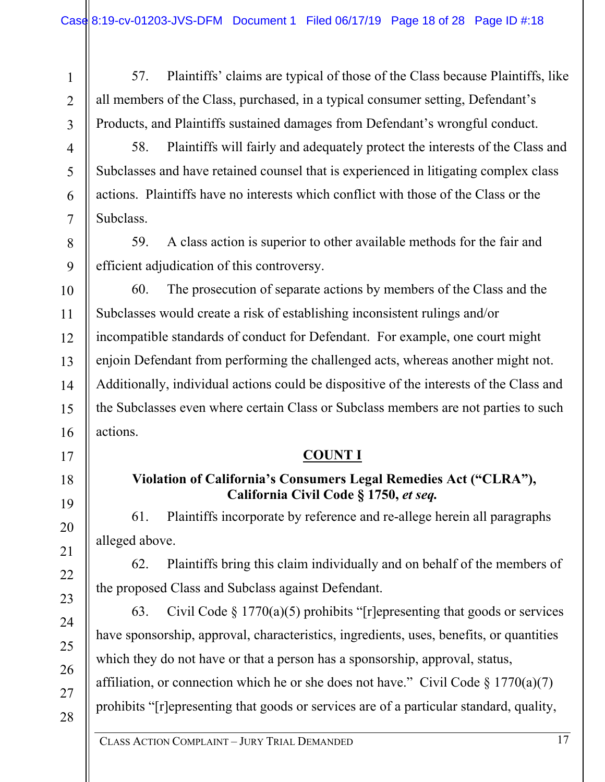1 2 57. Plaintiffs' claims are typical of those of the Class because Plaintiffs, like all members of the Class, purchased, in a typical consumer setting, Defendant's Products, and Plaintiffs sustained damages from Defendant's wrongful conduct.

3

4

5

6

7

8

9

17

18

19

20

21

22

23

24

25

26

27

28

58. Plaintiffs will fairly and adequately protect the interests of the Class and Subclasses and have retained counsel that is experienced in litigating complex class actions. Plaintiffs have no interests which conflict with those of the Class or the Subclass.

59. A class action is superior to other available methods for the fair and efficient adjudication of this controversy.

10 11 12 13 14 15 16 60. The prosecution of separate actions by members of the Class and the Subclasses would create a risk of establishing inconsistent rulings and/or incompatible standards of conduct for Defendant. For example, one court might enjoin Defendant from performing the challenged acts, whereas another might not. Additionally, individual actions could be dispositive of the interests of the Class and the Subclasses even where certain Class or Subclass members are not parties to such actions.

#### **COUNT I**

## **Violation of California's Consumers Legal Remedies Act ("CLRA"), California Civil Code § 1750,** *et seq.*

61. Plaintiffs incorporate by reference and re-allege herein all paragraphs alleged above.

62. Plaintiffs bring this claim individually and on behalf of the members of the proposed Class and Subclass against Defendant.

63. Civil Code § 1770(a)(5) prohibits "[r]epresenting that goods or services have sponsorship, approval, characteristics, ingredients, uses, benefits, or quantities which they do not have or that a person has a sponsorship, approval, status, affiliation, or connection which he or she does not have." Civil Code  $\S 1770(a)(7)$ prohibits "[r]epresenting that goods or services are of a particular standard, quality,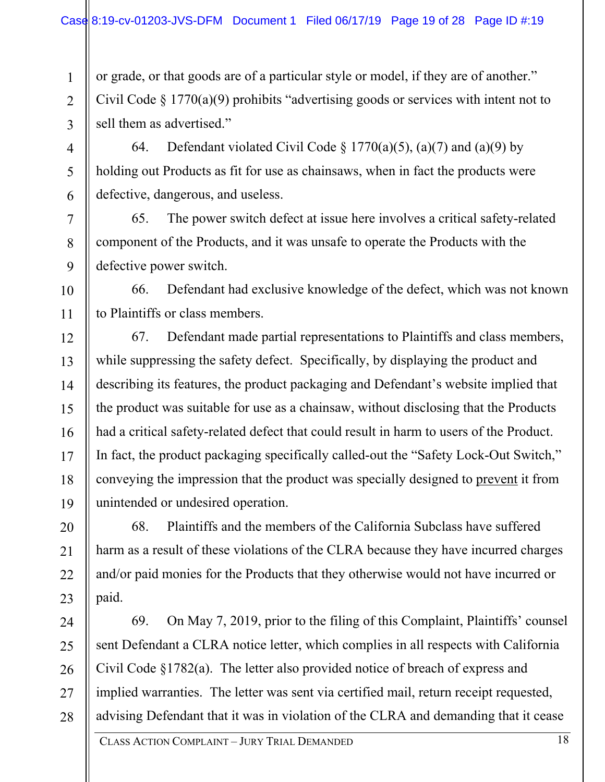1

2

3

4

5

6

7

8

9

10

11

20

21

23

or grade, or that goods are of a particular style or model, if they are of another." Civil Code § 1770(a)(9) prohibits "advertising goods or services with intent not to sell them as advertised."

64. Defendant violated Civil Code § 1770(a)(5), (a)(7) and (a)(9) by holding out Products as fit for use as chainsaws, when in fact the products were defective, dangerous, and useless.

65. The power switch defect at issue here involves a critical safety-related component of the Products, and it was unsafe to operate the Products with the defective power switch.

66. Defendant had exclusive knowledge of the defect, which was not known to Plaintiffs or class members.

12 13 14 15 16 17 18 19 67. Defendant made partial representations to Plaintiffs and class members, while suppressing the safety defect. Specifically, by displaying the product and describing its features, the product packaging and Defendant's website implied that the product was suitable for use as a chainsaw, without disclosing that the Products had a critical safety-related defect that could result in harm to users of the Product. In fact, the product packaging specifically called-out the "Safety Lock-Out Switch," conveying the impression that the product was specially designed to prevent it from unintended or undesired operation.

22 68. Plaintiffs and the members of the California Subclass have suffered harm as a result of these violations of the CLRA because they have incurred charges and/or paid monies for the Products that they otherwise would not have incurred or paid.

24 25 26 27 28 69. On May 7, 2019, prior to the filing of this Complaint, Plaintiffs' counsel sent Defendant a CLRA notice letter, which complies in all respects with California Civil Code §1782(a). The letter also provided notice of breach of express and implied warranties. The letter was sent via certified mail, return receipt requested, advising Defendant that it was in violation of the CLRA and demanding that it cease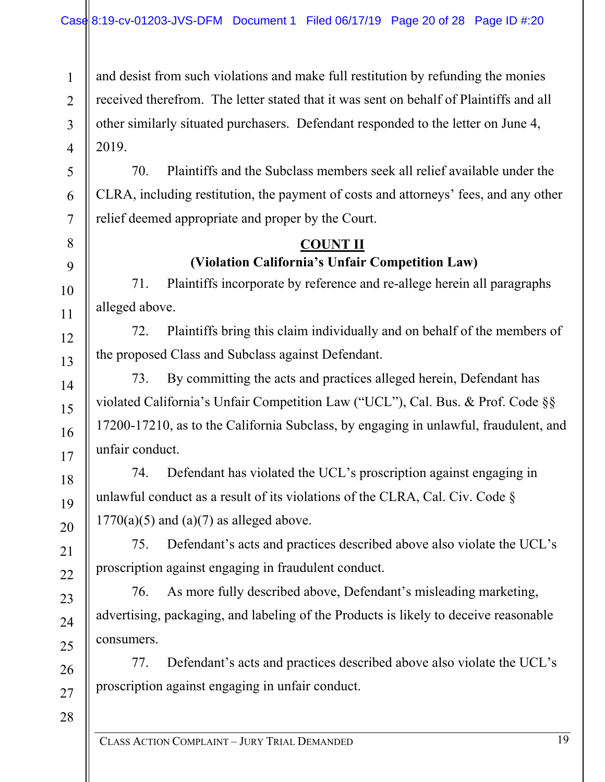and desist from such violations and make full restitution by refunding the monies received therefrom. The letter stated that it was sent on behalf of Plaintiffs and all other similarly situated purchasers. Defendant responded to the letter on June 4, 2019.

70. Plaintiffs and the Subclass members seek all relief available under the CLRA, including restitution, the payment of costs and attorneys' fees, and any other relief deemed appropriate and proper by the Court.

## **COUNT II (Violation California's Unfair Competition Law)**

71. Plaintiffs incorporate by reference and re-allege herein all paragraphs alleged above.

72. Plaintiffs bring this claim individually and on behalf of the members of the proposed Class and Subclass against Defendant.

73. By committing the acts and practices alleged herein, Defendant has violated California's Unfair Competition Law ("UCL"), Cal. Bus. & Prof. Code §§ 17200-17210, as to the California Subclass, by engaging in unlawful, fraudulent, and unfair conduct.

74. Defendant has violated the UCL's proscription against engaging in unlawful conduct as a result of its violations of the CLRA, Cal. Civ. Code §  $1770(a)(5)$  and  $(a)(7)$  as alleged above.

75. Defendant's acts and practices described above also violate the UCL's proscription against engaging in fraudulent conduct.

76. As more fully described above, Defendant's misleading marketing, advertising, packaging, and labeling of the Products is likely to deceive reasonable consumers.

77. Defendant's acts and practices described above also violate the UCL's proscription against engaging in unfair conduct.

28

1

2

3

4

5

6

7

8

9

10

11

12

13

14

15

16

17

18

19

20

21

22

23

24

25

26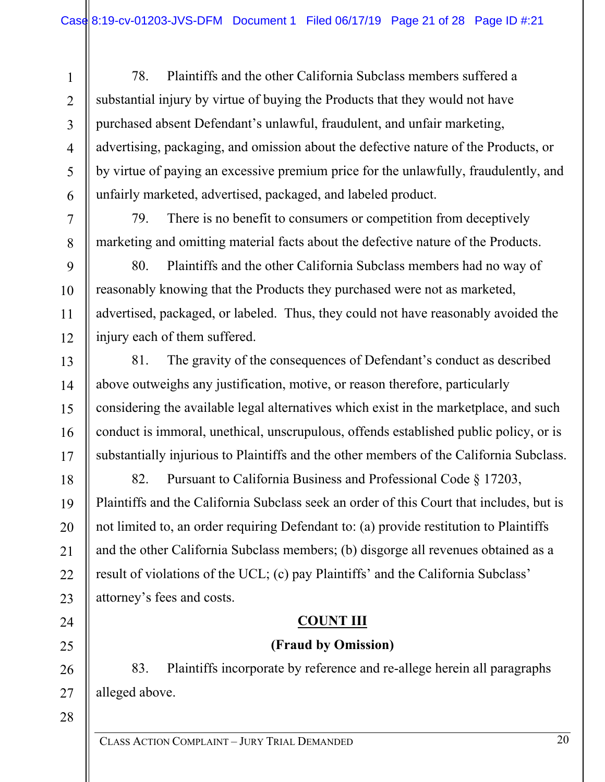78. Plaintiffs and the other California Subclass members suffered a substantial injury by virtue of buying the Products that they would not have purchased absent Defendant's unlawful, fraudulent, and unfair marketing, advertising, packaging, and omission about the defective nature of the Products, or by virtue of paying an excessive premium price for the unlawfully, fraudulently, and unfairly marketed, advertised, packaged, and labeled product.

79. There is no benefit to consumers or competition from deceptively marketing and omitting material facts about the defective nature of the Products.

80. Plaintiffs and the other California Subclass members had no way of reasonably knowing that the Products they purchased were not as marketed, advertised, packaged, or labeled. Thus, they could not have reasonably avoided the injury each of them suffered.

81. The gravity of the consequences of Defendant's conduct as described above outweighs any justification, motive, or reason therefore, particularly considering the available legal alternatives which exist in the marketplace, and such conduct is immoral, unethical, unscrupulous, offends established public policy, or is substantially injurious to Plaintiffs and the other members of the California Subclass.

82. Pursuant to California Business and Professional Code § 17203, Plaintiffs and the California Subclass seek an order of this Court that includes, but is not limited to, an order requiring Defendant to: (a) provide restitution to Plaintiffs and the other California Subclass members; (b) disgorge all revenues obtained as a result of violations of the UCL; (c) pay Plaintiffs' and the California Subclass' attorney's fees and costs.

## **COUNT III**

## **(Fraud by Omission)**

26 83. Plaintiffs incorporate by reference and re-allege herein all paragraphs alleged above.

28

27

1

2

3

4

5

6

7

8

9

10

11

12

13

14

15

16

17

18

19

20

21

22

23

24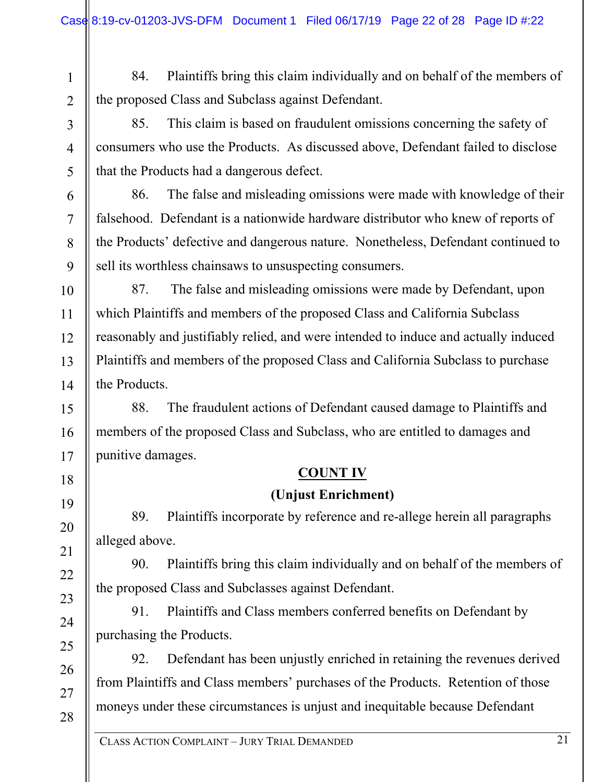1 2 84. Plaintiffs bring this claim individually and on behalf of the members of the proposed Class and Subclass against Defendant.

85. This claim is based on fraudulent omissions concerning the safety of consumers who use the Products. As discussed above, Defendant failed to disclose that the Products had a dangerous defect.

86. The false and misleading omissions were made with knowledge of their falsehood. Defendant is a nationwide hardware distributor who knew of reports of the Products' defective and dangerous nature. Nonetheless, Defendant continued to sell its worthless chainsaws to unsuspecting consumers.

87. The false and misleading omissions were made by Defendant, upon which Plaintiffs and members of the proposed Class and California Subclass reasonably and justifiably relied, and were intended to induce and actually induced Plaintiffs and members of the proposed Class and California Subclass to purchase the Products.

88. The fraudulent actions of Defendant caused damage to Plaintiffs and members of the proposed Class and Subclass, who are entitled to damages and punitive damages.

## **COUNT IV**

#### **(Unjust Enrichment)**

89. Plaintiffs incorporate by reference and re-allege herein all paragraphs alleged above.

90. Plaintiffs bring this claim individually and on behalf of the members of the proposed Class and Subclasses against Defendant.

91. Plaintiffs and Class members conferred benefits on Defendant by purchasing the Products.

92. Defendant has been unjustly enriched in retaining the revenues derived from Plaintiffs and Class members' purchases of the Products. Retention of those moneys under these circumstances is unjust and inequitable because Defendant

CLASS ACTION COMPLAINT – JURY TRIAL DEMANDED

3

4

5

6

7

8

9

10

11

12

13

14

15

16

17

18

19

20

21

22

23

24

25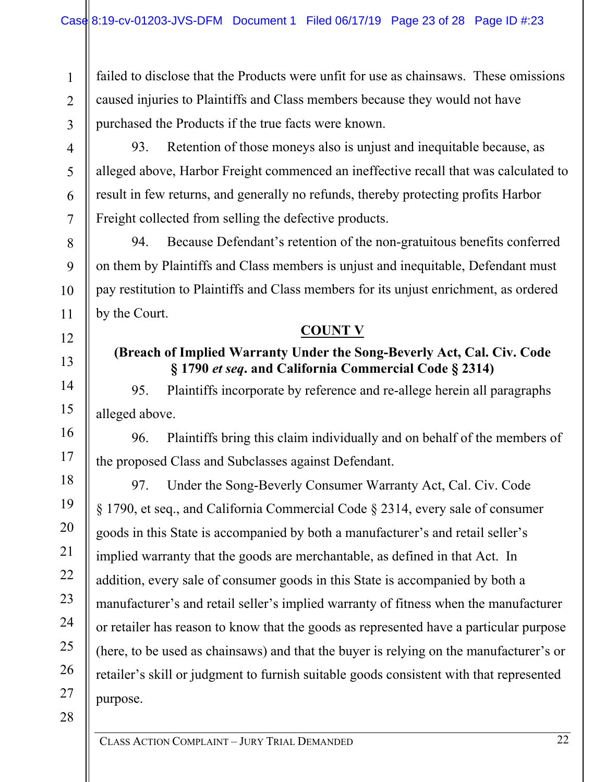1  $\mathfrak{D}$ 3 failed to disclose that the Products were unfit for use as chainsaws. These omissions caused injuries to Plaintiffs and Class members because they would not have purchased the Products if the true facts were known.

4

5

6

7

8

93. Retention of those moneys also is unjust and inequitable because, as alleged above, Harbor Freight commenced an ineffective recall that was calculated to result in few returns, and generally no refunds, thereby protecting profits Harbor Freight collected from selling the defective products.

94. Because Defendant's retention of the non-gratuitous benefits conferred on them by Plaintiffs and Class members is unjust and inequitable, Defendant must pay restitution to Plaintiffs and Class members for its unjust enrichment, as ordered by the Court.

#### **COUNT V**

## **(Breach of Implied Warranty Under the Song-Beverly Act, Cal. Civ. Code § 1790** *et seq***. and California Commercial Code § 2314)**

95. Plaintiffs incorporate by reference and re-allege herein all paragraphs alleged above.

96. Plaintiffs bring this claim individually and on behalf of the members of the proposed Class and Subclasses against Defendant.

97. Under the Song-Beverly Consumer Warranty Act, Cal. Civ. Code § 1790, et seq., and California Commercial Code § 2314, every sale of consumer goods in this State is accompanied by both a manufacturer's and retail seller's implied warranty that the goods are merchantable, as defined in that Act. In addition, every sale of consumer goods in this State is accompanied by both a manufacturer's and retail seller's implied warranty of fitness when the manufacturer or retailer has reason to know that the goods as represented have a particular purpose (here, to be used as chainsaws) and that the buyer is relying on the manufacturer's or retailer's skill or judgment to furnish suitable goods consistent with that represented purpose.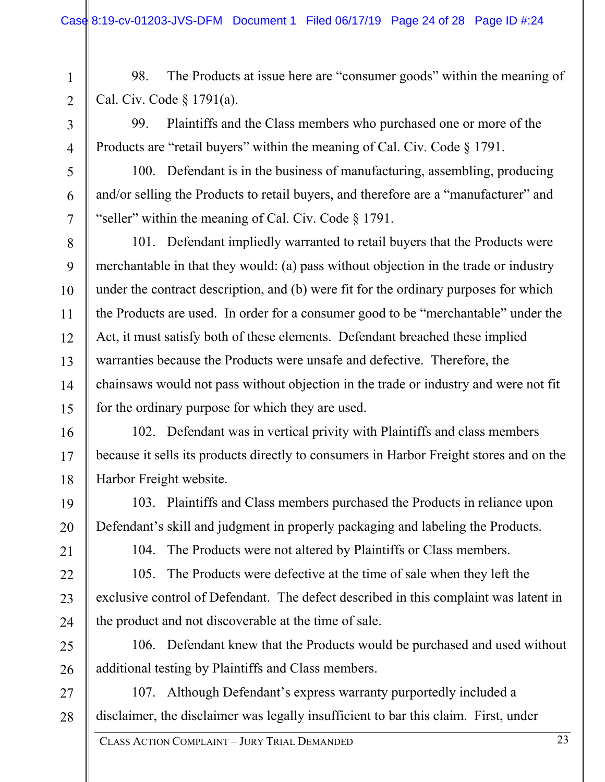98. The Products at issue here are "consumer goods" within the meaning of Cal. Civ. Code § 1791(a).

99. Plaintiffs and the Class members who purchased one or more of the Products are "retail buyers" within the meaning of Cal. Civ. Code  $\S 1791$ .

100. Defendant is in the business of manufacturing, assembling, producing and/or selling the Products to retail buyers, and therefore are a "manufacturer" and "seller" within the meaning of Cal. Civ. Code § 1791.

8 9 10 12 13 14 15 101. Defendant impliedly warranted to retail buyers that the Products were merchantable in that they would: (a) pass without objection in the trade or industry under the contract description, and (b) were fit for the ordinary purposes for which the Products are used. In order for a consumer good to be "merchantable" under the Act, it must satisfy both of these elements. Defendant breached these implied warranties because the Products were unsafe and defective. Therefore, the chainsaws would not pass without objection in the trade or industry and were not fit for the ordinary purpose for which they are used.

16 17 18 102. Defendant was in vertical privity with Plaintiffs and class members because it sells its products directly to consumers in Harbor Freight stores and on the Harbor Freight website.

103. Plaintiffs and Class members purchased the Products in reliance upon Defendant's skill and judgment in properly packaging and labeling the Products.

21

19

20

22

23

24

25

26

1

2

3

4

5

6

7

11

104. The Products were not altered by Plaintiffs or Class members.

105. The Products were defective at the time of sale when they left the exclusive control of Defendant. The defect described in this complaint was latent in the product and not discoverable at the time of sale.

106. Defendant knew that the Products would be purchased and used without additional testing by Plaintiffs and Class members.

27 28 107. Although Defendant's express warranty purportedly included a disclaimer, the disclaimer was legally insufficient to bar this claim. First, under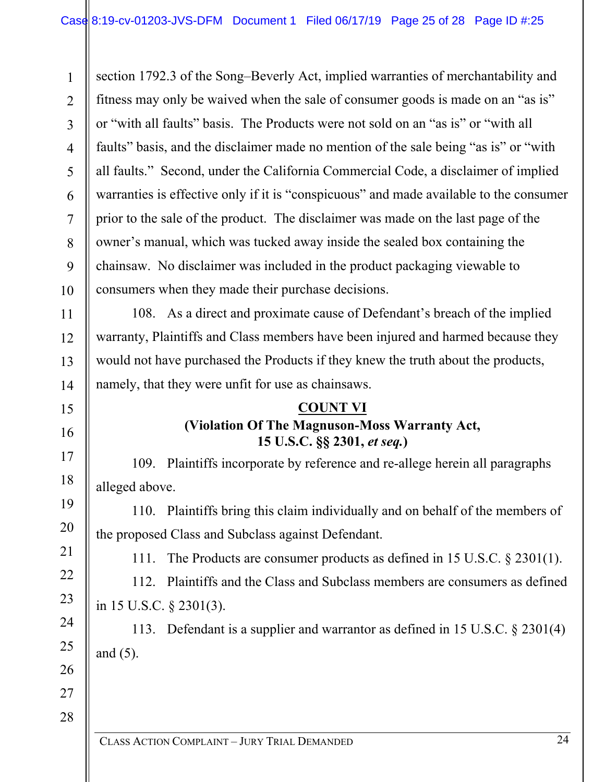24 CLASS ACTION COMPLAINT – JURY TRIAL DEMANDED 1 2 3 4 5 6 7 8 9 10 11 12 13 14 15 16 17 18 19 20 21 22 23 24 25 26 27 28 section 1792.3 of the Song–Beverly Act, implied warranties of merchantability and fitness may only be waived when the sale of consumer goods is made on an "as is" or "with all faults" basis. The Products were not sold on an "as is" or "with all faults" basis, and the disclaimer made no mention of the sale being "as is" or "with all faults." Second, under the California Commercial Code, a disclaimer of implied warranties is effective only if it is "conspicuous" and made available to the consumer prior to the sale of the product. The disclaimer was made on the last page of the owner's manual, which was tucked away inside the sealed box containing the chainsaw. No disclaimer was included in the product packaging viewable to consumers when they made their purchase decisions. 108. As a direct and proximate cause of Defendant's breach of the implied warranty, Plaintiffs and Class members have been injured and harmed because they would not have purchased the Products if they knew the truth about the products, namely, that they were unfit for use as chainsaws. **COUNT VI (Violation Of The Magnuson-Moss Warranty Act, 15 U.S.C. §§ 2301,** *et seq.***)**  109. Plaintiffs incorporate by reference and re-allege herein all paragraphs alleged above. 110. Plaintiffs bring this claim individually and on behalf of the members of the proposed Class and Subclass against Defendant. 111. The Products are consumer products as defined in 15 U.S.C. § 2301(1). 112. Plaintiffs and the Class and Subclass members are consumers as defined in 15 U.S.C. § 2301(3). 113. Defendant is a supplier and warrantor as defined in 15 U.S.C. § 2301(4) and (5).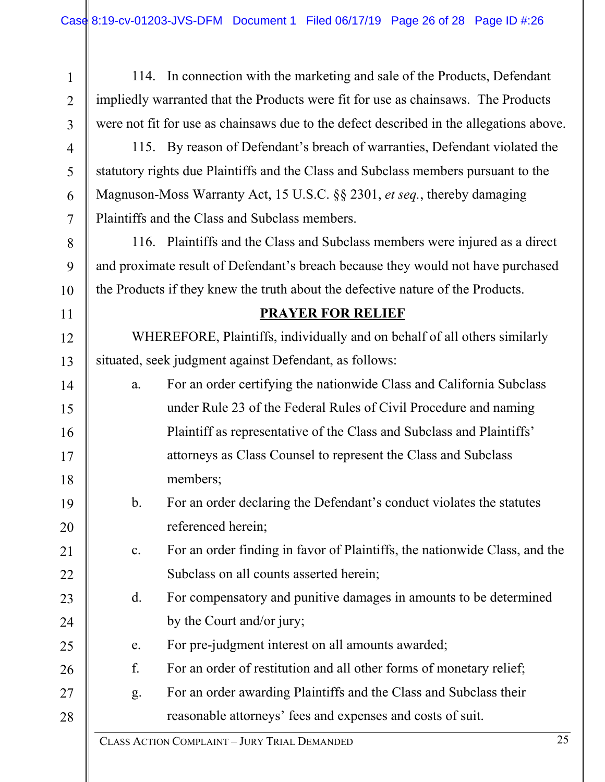1 2 3 114. In connection with the marketing and sale of the Products, Defendant impliedly warranted that the Products were fit for use as chainsaws. The Products were not fit for use as chainsaws due to the defect described in the allegations above.

115. By reason of Defendant's breach of warranties, Defendant violated the statutory rights due Plaintiffs and the Class and Subclass members pursuant to the Magnuson-Moss Warranty Act, 15 U.S.C. §§ 2301, *et seq.*, thereby damaging Plaintiffs and the Class and Subclass members.

4

5

6

7

8

9

10

11

12

13

19

20

21

22

25

26

116. Plaintiffs and the Class and Subclass members were injured as a direct and proximate result of Defendant's breach because they would not have purchased the Products if they knew the truth about the defective nature of the Products.

#### **PRAYER FOR RELIEF**

WHEREFORE, Plaintiffs, individually and on behalf of all others similarly situated, seek judgment against Defendant, as follows:

- 14 15 16 17 18 a. For an order certifying the nationwide Class and California Subclass under Rule 23 of the Federal Rules of Civil Procedure and naming Plaintiff as representative of the Class and Subclass and Plaintiffs' attorneys as Class Counsel to represent the Class and Subclass members;
	- b. For an order declaring the Defendant's conduct violates the statutes referenced herein;
	- c. For an order finding in favor of Plaintiffs, the nationwide Class, and the Subclass on all counts asserted herein;
- 23 24 d. For compensatory and punitive damages in amounts to be determined by the Court and/or jury;
	- e. For pre-judgment interest on all amounts awarded;
	- f. For an order of restitution and all other forms of monetary relief;
- 27 28 g. For an order awarding Plaintiffs and the Class and Subclass their reasonable attorneys' fees and expenses and costs of suit.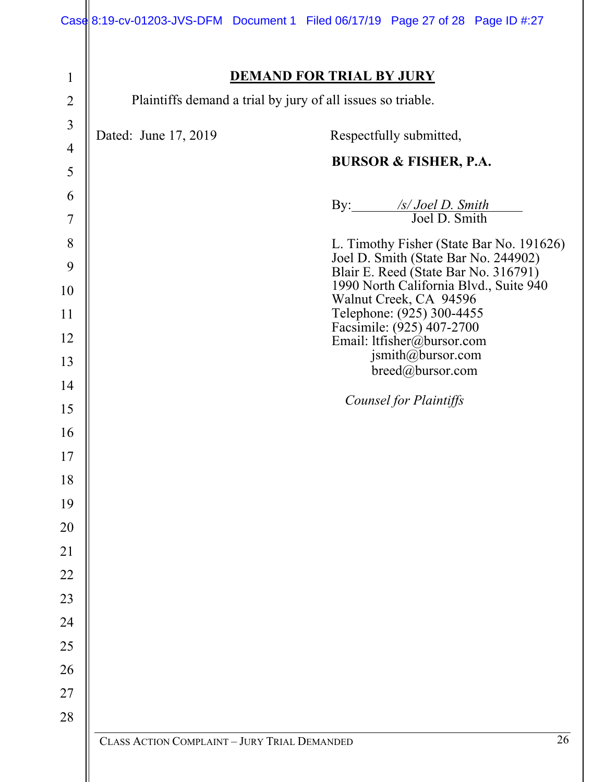|                                                                                                                                                                                          |                                                             |                                 | Case 8:19-cv-01203-JVS-DFM Document 1 Filed 06/17/19 Page 27 of 28 Page ID #:27                                                                                                                                                                                                                                                                                                                                                                                  |    |
|------------------------------------------------------------------------------------------------------------------------------------------------------------------------------------------|-------------------------------------------------------------|---------------------------------|------------------------------------------------------------------------------------------------------------------------------------------------------------------------------------------------------------------------------------------------------------------------------------------------------------------------------------------------------------------------------------------------------------------------------------------------------------------|----|
| $\mathbf{1}$<br>$\overline{2}$                                                                                                                                                           | Plaintiffs demand a trial by jury of all issues so triable. | <b>DEMAND FOR TRIAL BY JURY</b> |                                                                                                                                                                                                                                                                                                                                                                                                                                                                  |    |
| $\overline{3}$<br>$\overline{4}$<br>5<br>6<br>$\overline{7}$<br>8<br>9<br>10<br>11<br>12<br>13<br>14<br>15<br>16<br>17<br>18<br>19<br>20<br>21<br>22<br>23<br>24<br>25<br>26<br>27<br>28 | Dated: June 17, 2019                                        |                                 | Respectfully submitted,<br><b>BURSOR &amp; FISHER, P.A.</b><br>By: /s/ Joel D. Smith<br>Joel D. Smith<br>L. Timothy Fisher (State Bar No. 191626)<br>Joel D. Smith (State Bar No. 244902)<br>Blair E. Reed (State Bar No. 316791)<br>1990 North California Blvd., Suite 940<br>Walnut Creek, CA 94596<br>Telephone: (925) 300-4455<br>Facsimile: (925) 407-2700<br>Email: ltfisher@bursor.com<br>jsmith@bursor.com<br>breed@bursor.com<br>Counsel for Plaintiffs |    |
|                                                                                                                                                                                          | CLASS ACTION COMPLAINT - JURY TRIAL DEMANDED                |                                 |                                                                                                                                                                                                                                                                                                                                                                                                                                                                  | 26 |